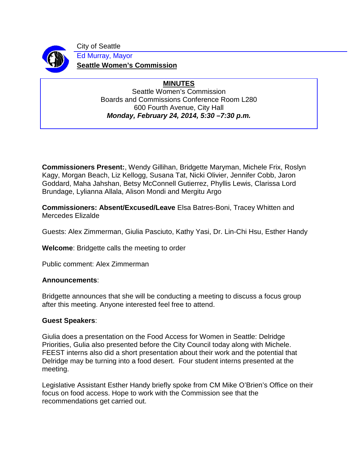

City of Seattle Ed Murray, Mayor **Seattle Women's Commission**

# **MINUTES**

Seattle Women's Commission Boards and Commissions Conference Room L280 600 Fourth Avenue, City Hall *Monday, February 24, 2014, 5:30 –7:30 p.m.*

**Commissioners Present:**, Wendy Gillihan, Bridgette Maryman, Michele Frix, Roslyn Kagy, Morgan Beach, Liz Kellogg, Susana Tat, Nicki Olivier, Jennifer Cobb, Jaron Goddard, Maha Jahshan, Betsy McConnell Gutierrez, Phyllis Lewis, Clarissa Lord Brundage, Lylianna Allala, Alison Mondi and Mergitu Argo

**Commissioners: Absent/Excused/Leave** Elsa Batres-Boni, Tracey Whitten and Mercedes Elizalde

Guests: Alex Zimmerman, Giulia Pasciuto, Kathy Yasi, Dr. Lin-Chi Hsu, Esther Handy

**Welcome**: Bridgette calls the meeting to order

Public comment: Alex Zimmerman

### **Announcements**:

Bridgette announces that she will be conducting a meeting to discuss a focus group after this meeting. Anyone interested feel free to attend.

### **Guest Speakers**:

Giulia does a presentation on the Food Access for Women in Seattle: Delridge Priorities, Gulia also presented before the City Council today along with Michele. FEEST interns also did a short presentation about their work and the potential that Delridge may be turning into a food desert. Four student interns presented at the meeting.

Legislative Assistant Esther Handy briefly spoke from CM Mike O'Brien's Office on their focus on food access. Hope to work with the Commission see that the recommendations get carried out.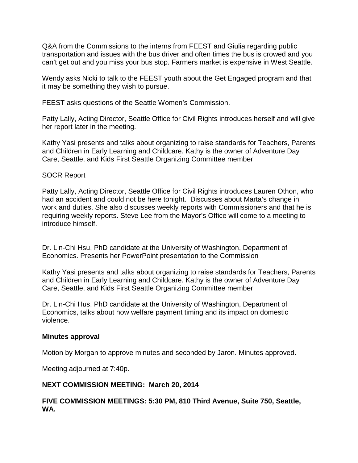Q&A from the Commissions to the interns from FEEST and Giulia regarding public transportation and issues with the bus driver and often times the bus is crowed and you can't get out and you miss your bus stop. Farmers market is expensive in West Seattle.

Wendy asks Nicki to talk to the FEEST youth about the Get Engaged program and that it may be something they wish to pursue.

FEEST asks questions of the Seattle Women's Commission.

Patty Lally, Acting Director, Seattle Office for Civil Rights introduces herself and will give her report later in the meeting.

Kathy Yasi presents and talks about organizing to raise standards for Teachers, Parents and Children in Early Learning and Childcare. Kathy is the owner of Adventure Day Care, Seattle, and Kids First Seattle Organizing Committee member

## SOCR Report

Patty Lally, Acting Director, Seattle Office for Civil Rights introduces Lauren Othon, who had an accident and could not be here tonight. Discusses about Marta's change in work and duties. She also discusses weekly reports with Commissioners and that he is requiring weekly reports. Steve Lee from the Mayor's Office will come to a meeting to introduce himself.

Dr. Lin-Chi Hsu, PhD candidate at the University of Washington, Department of Economics. Presents her PowerPoint presentation to the Commission

Kathy Yasi presents and talks about organizing to raise standards for Teachers, Parents and Children in Early Learning and Childcare. Kathy is the owner of Adventure Day Care, Seattle, and Kids First Seattle Organizing Committee member

Dr. Lin-Chi Hus, PhD candidate at the University of Washington, Department of Economics, talks about how welfare payment timing and its impact on domestic violence.

### **Minutes approval**

Motion by Morgan to approve minutes and seconded by Jaron. Minutes approved.

Meeting adjourned at 7:40p.

## **NEXT COMMISSION MEETING: March 20, 2014**

## **FIVE COMMISSION MEETINGS: 5:30 PM, 810 Third Avenue, Suite 750, Seattle, WA.**